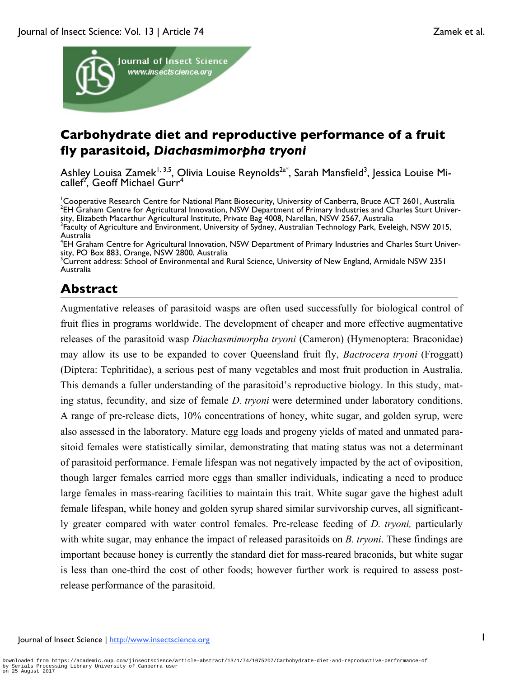

# **Carbohydrate diet and reproductive performance of a fruit fly parasitoid,** *Diachasmimorpha tryoni*

Ashley Louisa Zamek<sup>1, 3,5</sup>, Olivia Louise Reynolds<sup>2a\*</sup>, Sarah Mansfield<sup>3</sup>, Jessica Louise Micallef<sup>2'</sup>, Geoff Michael Gurr<sup>4</sup>

<sup>1</sup>Cooperative Research Centre for National Plant Biosecurity, University of Canberra, Bruce ACT 2601, Australia<br><sup>2ELI</sup> Grabam Centre for Agricultural Innovation, NSW Department of Primary Industries and Charles Sturt Univ <sup>2</sup>EH Graham Centre for Agricultural Innovation, NSW Department of Primary Industries and Charles Sturt University, Elizabeth Macarthur Agricultural Institute, Private Bag 4008, Narellan, NSW 2567, Australia <sup>3</sup> <sup>3</sup>Faculty of Agriculture and Environment, University of Sydney, Australian Technology Park, Eveleigh, NSW 2015, Australia

# **Abstract**

Augmentative releases of parasitoid wasps are often used successfully for biological control of fruit flies in programs worldwide. The development of cheaper and more effective augmentative releases of the parasitoid wasp *Diachasmimorpha tryoni* (Cameron) (Hymenoptera: Braconidae) may allow its use to be expanded to cover Queensland fruit fly, *Bactrocera tryoni* (Froggatt) (Diptera: Tephritidae), a serious pest of many vegetables and most fruit production in Australia. This demands a fuller understanding of the parasitoid's reproductive biology. In this study, mating status, fecundity, and size of female *D. tryoni* were determined under laboratory conditions. A range of pre-release diets, 10% concentrations of honey, white sugar, and golden syrup, were also assessed in the laboratory. Mature egg loads and progeny yields of mated and unmated parasitoid females were statistically similar, demonstrating that mating status was not a determinant of parasitoid performance. Female lifespan was not negatively impacted by the act of oviposition, though larger females carried more eggs than smaller individuals, indicating a need to produce large females in mass-rearing facilities to maintain this trait. White sugar gave the highest adult female lifespan, while honey and golden syrup shared similar survivorship curves, all significantly greater compared with water control females. Pre-release feeding of *D. tryoni,* particularly with white sugar, may enhance the impact of released parasitoids on *B. tryoni*. These findings are important because honey is currently the standard diet for mass-reared braconids, but white sugar is less than one-third the cost of other foods; however further work is required to assess postrelease performance of the parasitoid.

<sup>4</sup> EH Graham Centre for Agricultural Innovation, NSW Department of Primary Industries and Charles Sturt Univer-

sity, PO Box 883, Orange, NSW 2800, Australia<br><sup>5</sup>Current address: School of Environmental and Rural Science, University of New England, Armidale NSW 2351 Australia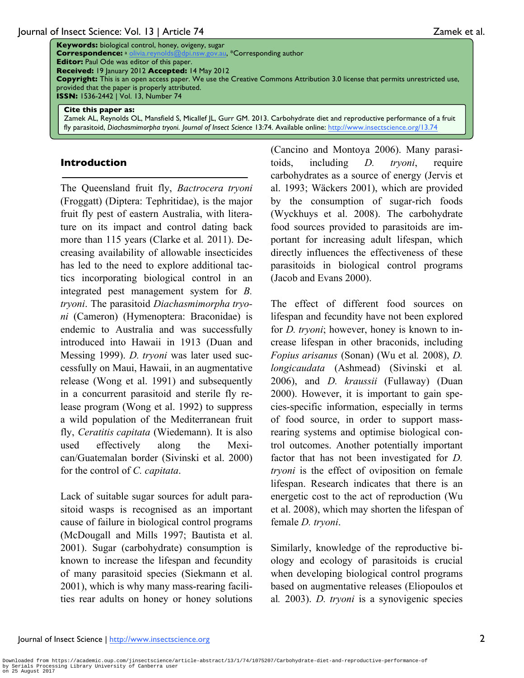**Keywords:** biological control, honey, ovigeny, sugar **Correspondence:** <sup>a</sup> olivia.reynolds@dpi.nsw.gov.au, \*Corresponding author **Editor:** Paul Ode was editor of this paper. **Received:** 19 January 2012 **Accepted:** 14 May 2012 **Copyright:** This is an open access paper. We use the Creative Commons Attribution 3.0 license that permits unrestricted use, provided that the paper is properly attributed. **ISSN:** 1536-2442 | Vol. 13, Number 74

#### **Cite this paper as:**

Zamek AL, Reynolds OL, Mansfield S, Micallef JL, Gurr GM. 2013. Carbohydrate diet and reproductive performance of a fruit fly parasitoid, *Diachasmimorpha tryoni*. *Journal of Insect Science* 13:74. Available online: http://www.insectscience.org/13.74

#### **Introduction**

The Queensland fruit fly, *Bactrocera tryoni*  (Froggatt) (Diptera: Tephritidae), is the major fruit fly pest of eastern Australia, with literature on its impact and control dating back more than 115 years (Clarke et al*.* 2011). Decreasing availability of allowable insecticides has led to the need to explore additional tactics incorporating biological control in an integrated pest management system for *B. tryoni*. The parasitoid *Diachasmimorpha tryoni* (Cameron) (Hymenoptera: Braconidae) is endemic to Australia and was successfully introduced into Hawaii in 1913 (Duan and Messing 1999). *D. tryoni* was later used successfully on Maui, Hawaii, in an augmentative release (Wong et al. 1991) and subsequently in a concurrent parasitoid and sterile fly release program (Wong et al. 1992) to suppress a wild population of the Mediterranean fruit fly, *Ceratitis capitata* (Wiedemann). It is also used effectively along the Mexican/Guatemalan border (Sivinski et al. 2000) for the control of *C. capitata*.

Lack of suitable sugar sources for adult parasitoid wasps is recognised as an important cause of failure in biological control programs (McDougall and Mills 1997; Bautista et al. 2001). Sugar (carbohydrate) consumption is known to increase the lifespan and fecundity of many parasitoid species (Siekmann et al. 2001), which is why many mass-rearing facilities rear adults on honey or honey solutions

(Cancino and Montoya 2006). Many parasitoids, including *D. tryoni*, require carbohydrates as a source of energy (Jervis et al. 1993; Wäckers 2001), which are provided by the consumption of sugar-rich foods (Wyckhuys et al. 2008). The carbohydrate food sources provided to parasitoids are important for increasing adult lifespan, which directly influences the effectiveness of these parasitoids in biological control programs (Jacob and Evans 2000).

The effect of different food sources on lifespan and fecundity have not been explored for *D. tryoni*; however, honey is known to increase lifespan in other braconids, including *Fopius arisanus* (Sonan) (Wu et al*.* 2008), *D. longicaudata* (Ashmead) (Sivinski et al*.* 2006), and *D. kraussii* (Fullaway) (Duan 2000). However, it is important to gain species-specific information, especially in terms of food source, in order to support massrearing systems and optimise biological control outcomes. Another potentially important factor that has not been investigated for *D. tryoni* is the effect of oviposition on female lifespan. Research indicates that there is an energetic cost to the act of reproduction (Wu et al. 2008), which may shorten the lifespan of female *D. tryoni*.

Similarly, knowledge of the reproductive biology and ecology of parasitoids is crucial when developing biological control programs based on augmentative releases (Eliopoulos et al*.* 2003). *D. tryoni* is a synovigenic species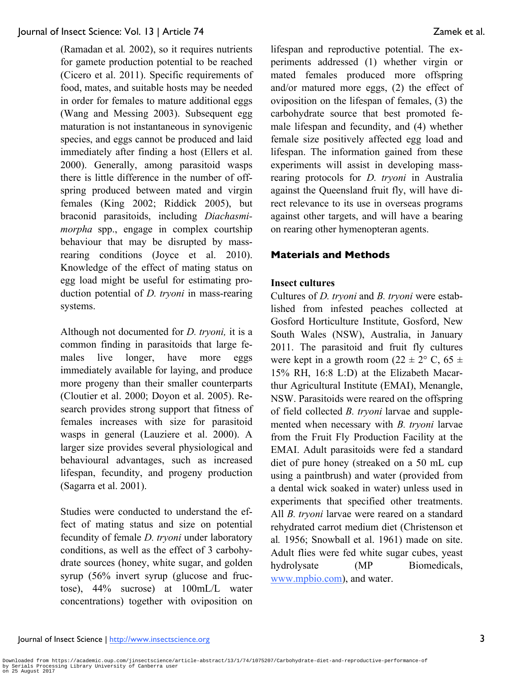(Ramadan et al*.* 2002), so it requires nutrients for gamete production potential to be reached (Cicero et al. 2011). Specific requirements of food, mates, and suitable hosts may be needed in order for females to mature additional eggs (Wang and Messing 2003). Subsequent egg maturation is not instantaneous in synovigenic species, and eggs cannot be produced and laid immediately after finding a host (Ellers et al. 2000). Generally, among parasitoid wasps there is little difference in the number of offspring produced between mated and virgin females (King 2002; Riddick 2005), but braconid parasitoids, including *Diachasmimorpha* spp., engage in complex courtship behaviour that may be disrupted by massrearing conditions (Joyce et al. 2010). Knowledge of the effect of mating status on egg load might be useful for estimating production potential of *D. tryoni* in mass-rearing systems.

Although not documented for *D. tryoni,* it is a common finding in parasitoids that large females live longer, have more eggs immediately available for laying, and produce more progeny than their smaller counterparts (Cloutier et al. 2000; Doyon et al. 2005). Research provides strong support that fitness of females increases with size for parasitoid wasps in general (Lauziere et al. 2000). A larger size provides several physiological and behavioural advantages, such as increased lifespan, fecundity, and progeny production (Sagarra et al. 2001).

Studies were conducted to understand the effect of mating status and size on potential fecundity of female *D. tryoni* under laboratory conditions, as well as the effect of 3 carbohydrate sources (honey, white sugar, and golden syrup (56% invert syrup (glucose and fructose), 44% sucrose) at 100mL/L water concentrations) together with oviposition on lifespan and reproductive potential. The experiments addressed (1) whether virgin or mated females produced more offspring and/or matured more eggs, (2) the effect of oviposition on the lifespan of females, (3) the carbohydrate source that best promoted female lifespan and fecundity, and (4) whether female size positively affected egg load and lifespan. The information gained from these experiments will assist in developing massrearing protocols for *D. tryoni* in Australia against the Queensland fruit fly, will have direct relevance to its use in overseas programs against other targets, and will have a bearing on rearing other hymenopteran agents.

## **Materials and Methods**

## **Insect cultures**

Cultures of *D. tryoni* and *B. tryoni* were established from infested peaches collected at Gosford Horticulture Institute, Gosford, New South Wales (NSW), Australia, in January 2011. The parasitoid and fruit fly cultures were kept in a growth room  $(22 \pm 2^{\circ} \text{ C}, 65 \pm \text{ }$ 15% RH, 16:8 L:D) at the Elizabeth Macarthur Agricultural Institute (EMAI), Menangle, NSW. Parasitoids were reared on the offspring of field collected *B. tryoni* larvae and supplemented when necessary with *B. tryoni* larvae from the Fruit Fly Production Facility at the EMAI. Adult parasitoids were fed a standard diet of pure honey (streaked on a 50 mL cup using a paintbrush) and water (provided from a dental wick soaked in water) unless used in experiments that specified other treatments. All *B. tryoni* larvae were reared on a standard rehydrated carrot medium diet (Christenson et al*.* 1956; Snowball et al. 1961) made on site. Adult flies were fed white sugar cubes, yeast hydrolysate (MP Biomedicals, www.mpbio.com), and water.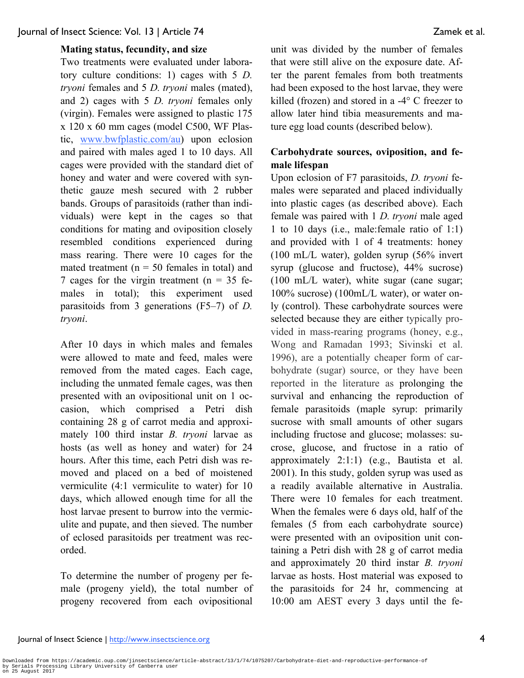### **Mating status, fecundity, and size**

Two treatments were evaluated under laboratory culture conditions: 1) cages with 5 *D. tryoni* females and 5 *D. tryoni* males (mated), and 2) cages with 5 *D. tryoni* females only (virgin). Females were assigned to plastic 175 x 120 x 60 mm cages (model C500, WF Plastic, www.bwfplastic.com/au) upon eclosion and paired with males aged 1 to 10 days. All cages were provided with the standard diet of honey and water and were covered with synthetic gauze mesh secured with 2 rubber bands. Groups of parasitoids (rather than individuals) were kept in the cages so that conditions for mating and oviposition closely resembled conditions experienced during mass rearing. There were 10 cages for the mated treatment ( $n = 50$  females in total) and 7 cages for the virgin treatment ( $n = 35$  females in total); this experiment used parasitoids from 3 generations (F5–7) of *D. tryoni*.

After 10 days in which males and females were allowed to mate and feed, males were removed from the mated cages. Each cage, including the unmated female cages, was then presented with an ovipositional unit on 1 occasion, which comprised a Petri dish containing 28 g of carrot media and approximately 100 third instar *B. tryoni* larvae as hosts (as well as honey and water) for 24 hours. After this time, each Petri dish was removed and placed on a bed of moistened vermiculite (4:1 vermiculite to water) for 10 days, which allowed enough time for all the host larvae present to burrow into the vermiculite and pupate, and then sieved. The number of eclosed parasitoids per treatment was recorded.

To determine the number of progeny per female (progeny yield), the total number of progeny recovered from each ovipositional

unit was divided by the number of females that were still alive on the exposure date. After the parent females from both treatments had been exposed to the host larvae, they were killed (frozen) and stored in a -4° C freezer to allow later hind tibia measurements and mature egg load counts (described below).

# **Carbohydrate sources, oviposition, and female lifespan**

Upon eclosion of F7 parasitoids, *D. tryoni* females were separated and placed individually into plastic cages (as described above). Each female was paired with 1 *D. tryoni* male aged 1 to 10 days (i.e., male:female ratio of 1:1) and provided with 1 of 4 treatments: honey (100 mL/L water), golden syrup (56% invert syrup (glucose and fructose), 44% sucrose) (100 mL/L water), white sugar (cane sugar; 100% sucrose) (100mL/L water), or water only (control). These carbohydrate sources were selected because they are either typically provided in mass-rearing programs (honey, e.g., Wong and Ramadan 1993; Sivinski et al. 1996), are a potentially cheaper form of carbohydrate (sugar) source, or they have been reported in the literature as prolonging the survival and enhancing the reproduction of female parasitoids (maple syrup: primarily sucrose with small amounts of other sugars including fructose and glucose; molasses: sucrose, glucose, and fructose in a ratio of approximately 2:1:1) (e.g., Bautista et al. 2001). In this study, golden syrup was used as a readily available alternative in Australia. There were 10 females for each treatment. When the females were 6 days old, half of the females (5 from each carbohydrate source) were presented with an oviposition unit containing a Petri dish with 28 g of carrot media and approximately 20 third instar *B. tryoni* larvae as hosts. Host material was exposed to the parasitoids for 24 hr, commencing at 10:00 am AEST every 3 days until the fe-

# Journal of Insect Science | http://www.insectscience.org 4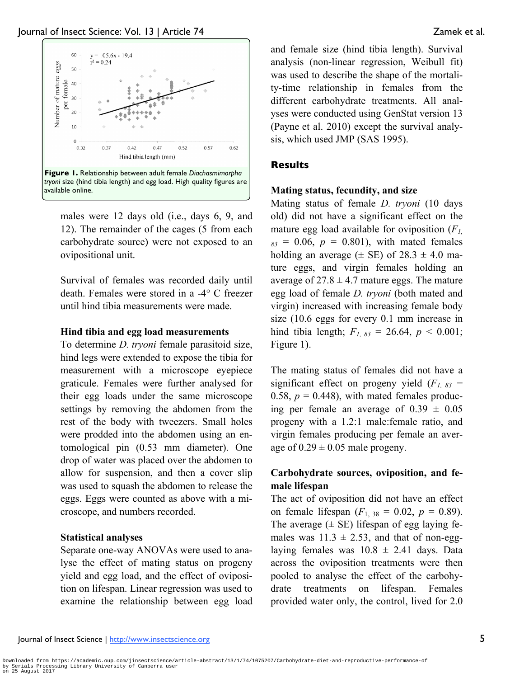

males were 12 days old (i.e., days 6, 9, and 12). The remainder of the cages (5 from each carbohydrate source) were not exposed to an ovipositional unit.

Survival of females was recorded daily until death. Females were stored in a -4° C freezer until hind tibia measurements were made.

# **Hind tibia and egg load measurements**

To determine *D. tryoni* female parasitoid size, hind legs were extended to expose the tibia for measurement with a microscope eyepiece graticule. Females were further analysed for their egg loads under the same microscope settings by removing the abdomen from the rest of the body with tweezers. Small holes were prodded into the abdomen using an entomological pin (0.53 mm diameter). One drop of water was placed over the abdomen to allow for suspension, and then a cover slip was used to squash the abdomen to release the eggs. Eggs were counted as above with a microscope, and numbers recorded.

# **Statistical analyses**

Separate one-way ANOVAs were used to analyse the effect of mating status on progeny yield and egg load, and the effect of oviposition on lifespan. Linear regression was used to examine the relationship between egg load

and female size (hind tibia length). Survival analysis (non-linear regression, Weibull fit) was used to describe the shape of the mortality-time relationship in females from the different carbohydrate treatments. All analyses were conducted using GenStat version 13 (Payne et al. 2010) except the survival analysis, which used JMP (SAS 1995).

# **Results**

# **Mating status, fecundity, and size**

Mating status of female *D. tryoni* (10 days old) did not have a significant effect on the mature egg load available for oviposition (*F1,*   $_{83}$  = 0.06,  $p = 0.801$ ), with mated females holding an average  $(\pm \text{ SE})$  of  $28.3 \pm 4.0 \text{ ma}$ ture eggs, and virgin females holding an average of  $27.8 \pm 4.7$  mature eggs. The mature egg load of female *D. tryoni* (both mated and virgin) increased with increasing female body size (10.6 eggs for every 0.1 mm increase in hind tibia length;  $F_{1, 83} = 26.64$ ,  $p < 0.001$ ; Figure 1).

The mating status of females did not have a significant effect on progeny yield  $(F<sub>1, 83</sub>)$  = 0.58,  $p = 0.448$ , with mated females producing per female an average of  $0.39 \pm 0.05$ progeny with a 1.2:1 male:female ratio, and virgin females producing per female an average of  $0.29 \pm 0.05$  male progeny.

# **Carbohydrate sources, oviposition, and female lifespan**

The act of oviposition did not have an effect on female lifespan  $(F_{1, 38} = 0.02, p = 0.89)$ . The average  $(\pm$  SE) lifespan of egg laying females was  $11.3 \pm 2.53$ , and that of non-egglaying females was  $10.8 \pm 2.41$  days. Data across the oviposition treatments were then pooled to analyse the effect of the carbohydrate treatments on lifespan. Females provided water only, the control, lived for 2.0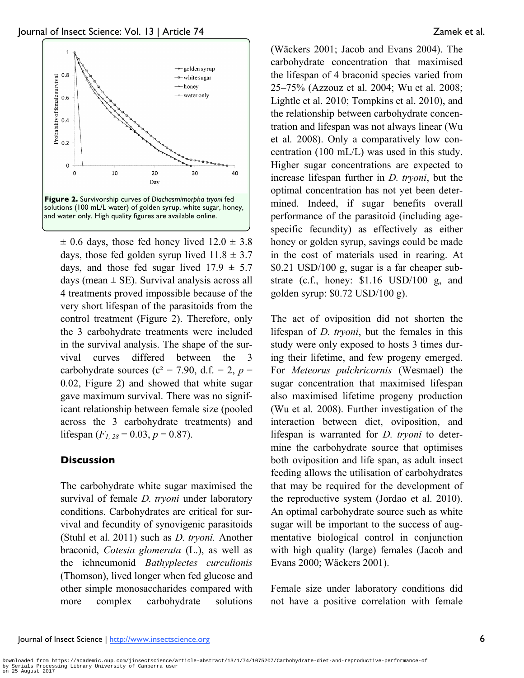

 $\pm$  0.6 days, those fed honey lived 12.0  $\pm$  3.8 days, those fed golden syrup lived  $11.8 \pm 3.7$ days, and those fed sugar lived  $17.9 \pm 5.7$ days (mean  $\pm$  SE). Survival analysis across all 4 treatments proved impossible because of the very short lifespan of the parasitoids from the control treatment (Figure 2). Therefore, only the 3 carbohydrate treatments were included in the survival analysis. The shape of the survival curves differed between the 3 carbohydrate sources ( $c^2$  = 7.90, d.f. = 2,  $p$  = 0.02, Figure 2) and showed that white sugar gave maximum survival. There was no significant relationship between female size (pooled across the 3 carbohydrate treatments) and lifespan  $(F<sub>1, 28</sub> = 0.03, p = 0.87)$ .

# **Discussion**

The carbohydrate white sugar maximised the survival of female *D. tryoni* under laboratory conditions. Carbohydrates are critical for survival and fecundity of synovigenic parasitoids (Stuhl et al. 2011) such as *D. tryoni.* Another braconid, *Cotesia glomerata* (L.), as well as the ichneumonid *Bathyplectes curculionis* (Thomson), lived longer when fed glucose and other simple monosaccharides compared with more complex carbohydrate solutions

(Wäckers 2001; Jacob and Evans 2004). The carbohydrate concentration that maximised the lifespan of 4 braconid species varied from 25–75% (Azzouz et al. 2004; Wu et al*.* 2008; Lightle et al. 2010; Tompkins et al. 2010), and the relationship between carbohydrate concentration and lifespan was not always linear (Wu et al*.* 2008). Only a comparatively low concentration (100 mL/L) was used in this study. Higher sugar concentrations are expected to increase lifespan further in *D. tryoni*, but the optimal concentration has not yet been determined. Indeed, if sugar benefits overall performance of the parasitoid (including agespecific fecundity) as effectively as either honey or golden syrup, savings could be made in the cost of materials used in rearing. At \$0.21 USD/100 g, sugar is a far cheaper substrate (c.f., honey: \$1.16 USD/100 g, and golden syrup: \$0.72 USD/100 g).

The act of oviposition did not shorten the lifespan of *D. tryoni*, but the females in this study were only exposed to hosts 3 times during their lifetime, and few progeny emerged. For *Meteorus pulchricornis* (Wesmael) the sugar concentration that maximised lifespan also maximised lifetime progeny production (Wu et al*.* 2008). Further investigation of the interaction between diet, oviposition, and lifespan is warranted for *D. tryoni* to determine the carbohydrate source that optimises both oviposition and life span, as adult insect feeding allows the utilisation of carbohydrates that may be required for the development of the reproductive system (Jordao et al. 2010). An optimal carbohydrate source such as white sugar will be important to the success of augmentative biological control in conjunction with high quality (large) females (Jacob and Evans 2000; Wäckers 2001).

Female size under laboratory conditions did not have a positive correlation with female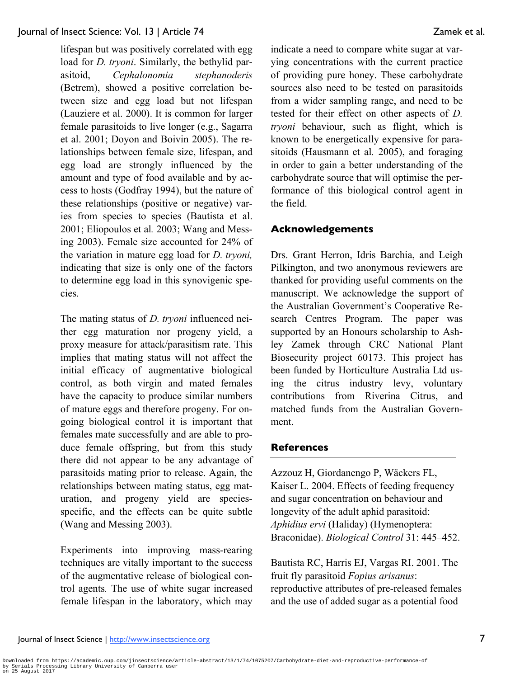lifespan but was positively correlated with egg load for *D. tryoni*. Similarly, the bethylid parasitoid, *Cephalonomia stephanoderis*  (Betrem), showed a positive correlation between size and egg load but not lifespan (Lauziere et al. 2000). It is common for larger female parasitoids to live longer (e.g., Sagarra et al. 2001; Doyon and Boivin 2005). The relationships between female size, lifespan, and egg load are strongly influenced by the amount and type of food available and by access to hosts (Godfray 1994), but the nature of these relationships (positive or negative) varies from species to species (Bautista et al. 2001; Eliopoulos et al*.* 2003; Wang and Messing 2003). Female size accounted for 24% of the variation in mature egg load for *D. tryoni,* indicating that size is only one of the factors to determine egg load in this synovigenic species.

The mating status of *D. tryoni* influenced neither egg maturation nor progeny yield, a proxy measure for attack/parasitism rate. This implies that mating status will not affect the initial efficacy of augmentative biological control, as both virgin and mated females have the capacity to produce similar numbers of mature eggs and therefore progeny. For ongoing biological control it is important that females mate successfully and are able to produce female offspring, but from this study there did not appear to be any advantage of parasitoids mating prior to release. Again, the relationships between mating status, egg maturation, and progeny yield are speciesspecific, and the effects can be quite subtle (Wang and Messing 2003).

Experiments into improving mass-rearing techniques are vitally important to the success of the augmentative release of biological control agents*.* The use of white sugar increased female lifespan in the laboratory, which may

indicate a need to compare white sugar at varying concentrations with the current practice of providing pure honey. These carbohydrate sources also need to be tested on parasitoids from a wider sampling range, and need to be tested for their effect on other aspects of *D. tryoni* behaviour, such as flight, which is known to be energetically expensive for parasitoids (Hausmann et al*.* 2005), and foraging in order to gain a better understanding of the carbohydrate source that will optimise the performance of this biological control agent in the field.

# **Acknowledgements**

Drs. Grant Herron, Idris Barchia, and Leigh Pilkington, and two anonymous reviewers are thanked for providing useful comments on the manuscript. We acknowledge the support of the Australian Government's Cooperative Research Centres Program. The paper was supported by an Honours scholarship to Ashley Zamek through CRC National Plant Biosecurity project 60173. This project has been funded by Horticulture Australia Ltd using the citrus industry levy, voluntary contributions from Riverina Citrus, and matched funds from the Australian Government.

## **References**

Azzouz H, Giordanengo P, Wäckers FL, Kaiser L. 2004. Effects of feeding frequency and sugar concentration on behaviour and longevity of the adult aphid parasitoid: *Aphidius ervi* (Haliday) (Hymenoptera: Braconidae). *Biological Control* 31: 445–452.

Bautista RC, Harris EJ, Vargas RI. 2001. The fruit fly parasitoid *Fopius arisanus*: reproductive attributes of pre-released females and the use of added sugar as a potential food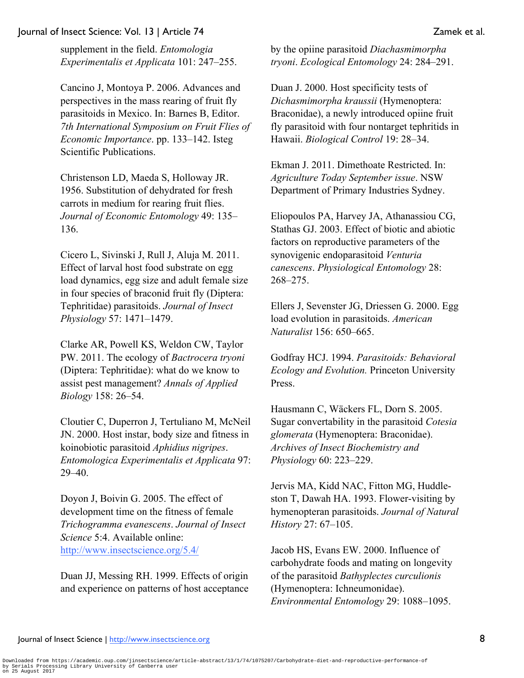supplement in the field. *Entomologia Experimentalis et Applicata* 101: 247–255.

Cancino J, Montoya P. 2006. Advances and perspectives in the mass rearing of fruit fly parasitoids in Mexico. In: Barnes B, Editor. *7th International Symposium on Fruit Flies of Economic Importance*. pp. 133–142. Isteg Scientific Publications.

Christenson LD, Maeda S, Holloway JR. 1956. Substitution of dehydrated for fresh carrots in medium for rearing fruit flies. *Journal of Economic Entomology* 49: 135– 136.

Cicero L, Sivinski J, Rull J, Aluja M. 2011. Effect of larval host food substrate on egg load dynamics, egg size and adult female size in four species of braconid fruit fly (Diptera: Tephritidae) parasitoids. *Journal of Insect Physiology* 57: 1471–1479.

Clarke AR, Powell KS, Weldon CW, Taylor PW. 2011. The ecology of *Bactrocera tryoni* (Diptera: Tephritidae): what do we know to assist pest management? *Annals of Applied Biology* 158: 26–54.

Cloutier C, Duperron J, Tertuliano M, McNeil JN. 2000. Host instar, body size and fitness in koinobiotic parasitoid *Aphidius nigripes*. *Entomologica Experimentalis et Applicata* 97: 29–40.

Doyon J, Boivin G. 2005. The effect of development time on the fitness of female *Trichogramma evanescens*. *Journal of Insect Science* 5:4. Available online: http://www.insectscience.org/5.4/

Duan JJ, Messing RH. 1999. Effects of origin and experience on patterns of host acceptance by the opiine parasitoid *Diachasmimorpha tryoni*. *Ecological Entomology* 24: 284–291.

Duan J. 2000. Host specificity tests of *Dichasmimorpha kraussii* (Hymenoptera: Braconidae), a newly introduced opiine fruit fly parasitoid with four nontarget tephritids in Hawaii. *Biological Control* 19: 28–34.

Ekman J. 2011. Dimethoate Restricted. In: *Agriculture Today September issue*. NSW Department of Primary Industries Sydney.

Eliopoulos PA, Harvey JA, Athanassiou CG, Stathas GJ. 2003. Effect of biotic and abiotic factors on reproductive parameters of the synovigenic endoparasitoid *Venturia canescens*. *Physiological Entomology* 28: 268–275.

Ellers J, Sevenster JG, Driessen G. 2000. Egg load evolution in parasitoids. *American Naturalist* 156: 650–665.

Godfray HCJ. 1994. *Parasitoids: Behavioral Ecology and Evolution.* Princeton University Press.

Hausmann C, Wäckers FL, Dorn S. 2005. Sugar convertability in the parasitoid *Cotesia glomerata* (Hymenoptera: Braconidae). *Archives of Insect Biochemistry and Physiology* 60: 223–229.

Jervis MA, Kidd NAC, Fitton MG, Huddleston T, Dawah HA. 1993. Flower-visiting by hymenopteran parasitoids. *Journal of Natural History* 27: 67–105.

Jacob HS, Evans EW. 2000. Influence of carbohydrate foods and mating on longevity of the parasitoid *Bathyplectes curculionis* (Hymenoptera: Ichneumonidae). *Environmental Entomology* 29: 1088–1095.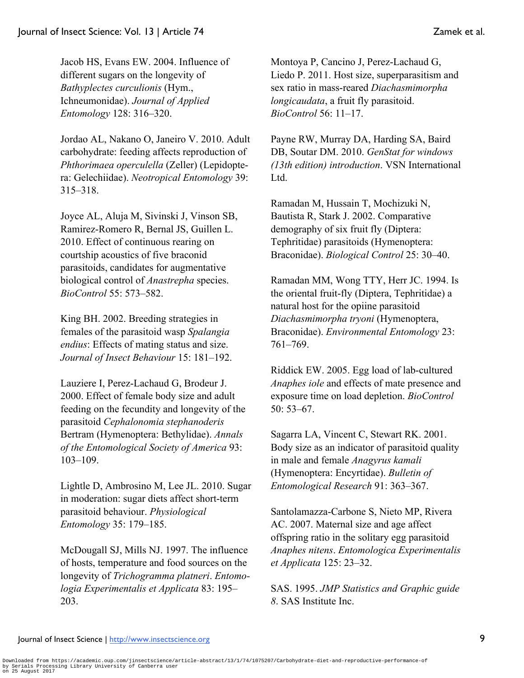Jacob HS, Evans EW. 2004. Influence of different sugars on the longevity of *Bathyplectes curculionis* (Hym., Ichneumonidae). *Journal of Applied Entomology* 128: 316–320.

Jordao AL, Nakano O, Janeiro V. 2010. Adult carbohydrate: feeding affects reproduction of *Phthorimaea operculella* (Zeller) (Lepidoptera: Gelechiidae). *Neotropical Entomology* 39: 315–318.

Joyce AL, Aluja M, Sivinski J, Vinson SB, Ramirez-Romero R, Bernal JS, Guillen L. 2010. Effect of continuous rearing on courtship acoustics of five braconid parasitoids, candidates for augmentative biological control of *Anastrepha* species. *BioControl* 55: 573–582.

King BH. 2002. Breeding strategies in females of the parasitoid wasp *Spalangia endius*: Effects of mating status and size. *Journal of Insect Behaviour* 15: 181–192.

Lauziere I, Perez-Lachaud G, Brodeur J. 2000. Effect of female body size and adult feeding on the fecundity and longevity of the parasitoid *Cephalonomia stephanoderis* Bertram (Hymenoptera: Bethylidae). *Annals of the Entomological Society of America* 93: 103–109.

Lightle D, Ambrosino M, Lee JL. 2010. Sugar in moderation: sugar diets affect short-term parasitoid behaviour. *Physiological Entomology* 35: 179–185.

McDougall SJ, Mills NJ. 1997. The influence of hosts, temperature and food sources on the longevity of *Trichogramma platneri*. *Entomologia Experimentalis et Applicata* 83: 195– 203.

Montoya P, Cancino J, Perez-Lachaud G, Liedo P. 2011. Host size, superparasitism and sex ratio in mass-reared *Diachasmimorpha longicaudata*, a fruit fly parasitoid. *BioControl* 56: 11–17.

Payne RW, Murray DA, Harding SA, Baird DB, Soutar DM. 2010. *GenStat for windows (13th edition) introduction*. VSN International Ltd.

Ramadan M, Hussain T, Mochizuki N, Bautista R, Stark J. 2002. Comparative demography of six fruit fly (Diptera: Tephritidae) parasitoids (Hymenoptera: Braconidae). *Biological Control* 25: 30–40.

Ramadan MM, Wong TTY, Herr JC. 1994. Is the oriental fruit-fly (Diptera, Tephritidae) a natural host for the opiine parasitoid *Diachasmimorpha tryoni* (Hymenoptera, Braconidae). *Environmental Entomology* 23: 761–769.

Riddick EW. 2005. Egg load of lab-cultured *Anaphes iole* and effects of mate presence and exposure time on load depletion. *BioControl* 50: 53–67.

Sagarra LA, Vincent C, Stewart RK. 2001. Body size as an indicator of parasitoid quality in male and female *Anagyrus kamali* (Hymenoptera: Encyrtidae). *Bulletin of Entomological Research* 91: 363–367.

Santolamazza-Carbone S, Nieto MP, Rivera AC. 2007. Maternal size and age affect offspring ratio in the solitary egg parasitoid *Anaphes nitens*. *Entomologica Experimentalis et Applicata* 125: 23–32.

SAS. 1995. *JMP Statistics and Graphic guide 8*. SAS Institute Inc.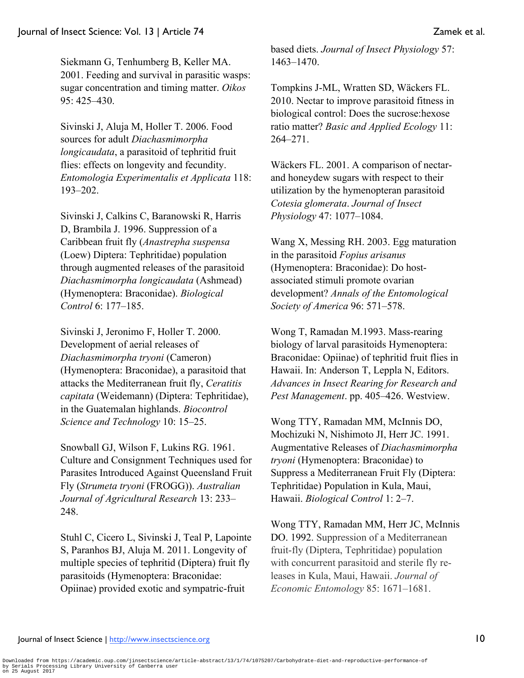Siekmann G, Tenhumberg B, Keller MA. 2001. Feeding and survival in parasitic wasps: sugar concentration and timing matter. *Oikos* 95: 425–430.

Sivinski J, Aluja M, Holler T. 2006. Food sources for adult *Diachasmimorpha longicaudata*, a parasitoid of tephritid fruit flies: effects on longevity and fecundity. *Entomologia Experimentalis et Applicata* 118: 193–202.

Sivinski J, Calkins C, Baranowski R, Harris D, Brambila J. 1996. Suppression of a Caribbean fruit fly (*Anastrepha suspensa* (Loew) Diptera: Tephritidae) population through augmented releases of the parasitoid *Diachasmimorpha longicaudata* (Ashmead) (Hymenoptera: Braconidae). *Biological Control* 6: 177–185.

Sivinski J, Jeronimo F, Holler T. 2000. Development of aerial releases of *Diachasmimorpha tryoni* (Cameron) (Hymenoptera: Braconidae), a parasitoid that attacks the Mediterranean fruit fly, *Ceratitis capitata* (Weidemann) (Diptera: Tephritidae), in the Guatemalan highlands. *Biocontrol Science and Technology* 10: 15–25.

Snowball GJ, Wilson F, Lukins RG. 1961. Culture and Consignment Techniques used for Parasites Introduced Against Queensland Fruit Fly (*Strumeta tryoni* (FROGG)). *Australian Journal of Agricultural Research* 13: 233– 248.

Stuhl C, Cicero L, Sivinski J, Teal P, Lapointe S, Paranhos BJ, Aluja M. 2011. Longevity of multiple species of tephritid (Diptera) fruit fly parasitoids (Hymenoptera: Braconidae: Opiinae) provided exotic and sympatric-fruit

based diets. *Journal of Insect Physiology* 57: 1463–1470.

Tompkins J-ML, Wratten SD, Wäckers FL. 2010. Nectar to improve parasitoid fitness in biological control: Does the sucrose:hexose ratio matter? *Basic and Applied Ecology* 11: 264–271.

Wäckers FL. 2001. A comparison of nectarand honeydew sugars with respect to their utilization by the hymenopteran parasitoid *Cotesia glomerata*. *Journal of Insect Physiology* 47: 1077–1084.

Wang X, Messing RH. 2003. Egg maturation in the parasitoid *Fopius arisanus* (Hymenoptera: Braconidae): Do hostassociated stimuli promote ovarian development? *Annals of the Entomological Society of America* 96: 571–578.

Wong T, Ramadan M.1993. Mass-rearing biology of larval parasitoids Hymenoptera: Braconidae: Opiinae) of tephritid fruit flies in Hawaii. In: Anderson T, Leppla N, Editors. *Advances in Insect Rearing for Research and Pest Management*. pp. 405–426. Westview.

Wong TTY, Ramadan MM, McInnis DO, Mochizuki N, Nishimoto JI, Herr JC. 1991. Augmentative Releases of *Diachasmimorpha tryoni* (Hymenoptera: Braconidae) to Suppress a Mediterranean Fruit Fly (Diptera: Tephritidae) Population in Kula, Maui, Hawaii. *Biological Control* 1: 2–7.

Wong TTY, Ramadan MM, Herr JC, McInnis DO. 1992. Suppression of a Mediterranean fruit-fly (Diptera, Tephritidae) population with concurrent parasitoid and sterile fly releases in Kula, Maui, Hawaii. *Journal of Economic Entomology* 85: 1671–1681.